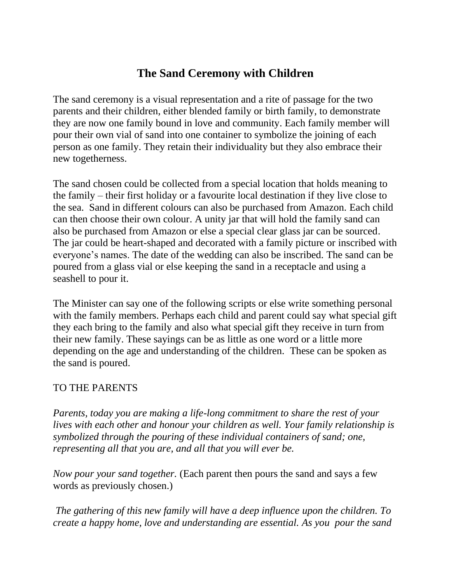# **The Sand Ceremony with Children**

The sand ceremony is a visual representation and a rite of passage for the two parents and their children, either blended family or birth family, to demonstrate they are now one family bound in love and community. Each family member will pour their own vial of sand into one container to symbolize the joining of each person as one family. They retain their individuality but they also embrace their new togetherness.

The sand chosen could be collected from a special location that holds meaning to the family – their first holiday or a favourite local destination if they live close to the sea. Sand in different colours can also be purchased from Amazon. Each child can then choose their own colour. A unity jar that will hold the family sand can also be purchased from Amazon or else a special clear glass jar can be sourced. The jar could be heart-shaped and decorated with a family picture or inscribed with everyone's names. The date of the wedding can also be inscribed. The sand can be poured from a glass vial or else keeping the sand in a receptacle and using a seashell to pour it.

The Minister can say one of the following scripts or else write something personal with the family members. Perhaps each child and parent could say what special gift they each bring to the family and also what special gift they receive in turn from their new family. These sayings can be as little as one word or a little more depending on the age and understanding of the children. These can be spoken as the sand is poured.

### TO THE PARENTS

*Parents, today you are making a life-long commitment to share the rest of your lives with each other and honour your children as well. Your family relationship is symbolized through the pouring of these individual containers of sand; one, representing all that you are, and all that you will ever be.*

*Now pour your sand together.* (Each parent then pours the sand and says a few words as previously chosen.)

*The gathering of this new family will have a deep influence upon the children. To create a happy home, love and understanding are essential. As you pour the sand*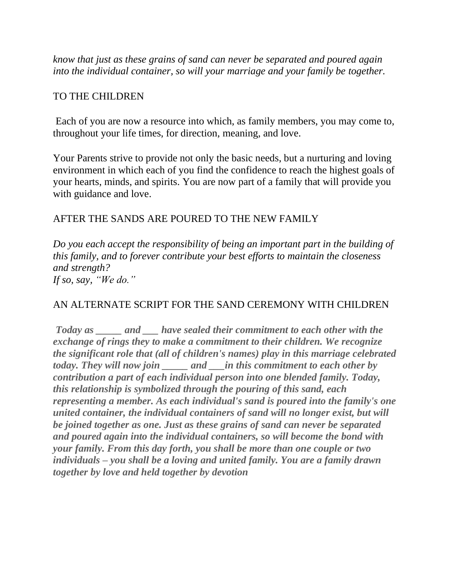*know that just as these grains of sand can never be separated and poured again into the individual container, so will your marriage and your family be together.*

#### TO THE CHILDREN

Each of you are now a resource into which, as family members, you may come to, throughout your life times, for direction, meaning, and love.

Your Parents strive to provide not only the basic needs, but a nurturing and loving environment in which each of you find the confidence to reach the highest goals of your hearts, minds, and spirits. You are now part of a family that will provide you with guidance and love.

#### AFTER THE SANDS ARE POURED TO THE NEW FAMILY

*Do you each accept the responsibility of being an important part in the building of this family, and to forever contribute your best efforts to maintain the closeness and strength? If so, say, "We do."*

### AN ALTERNATE SCRIPT FOR THE SAND CEREMONY WITH CHILDREN

*Today as \_\_\_\_\_ and \_\_\_ have sealed their commitment to each other with the exchange of rings they to make a commitment to their children. We recognize the significant role that (all of children's names) play in this marriage celebrated today. They will now join \_\_\_\_\_ and \_\_\_in this commitment to each other by contribution a part of each individual person into one blended family. Today, this relationship is symbolized through the pouring of this sand, each representing a member. As each individual's sand is poured into the family's one united container, the individual containers of sand will no longer exist, but will be joined together as one. Just as these grains of sand can never be separated and poured again into the individual containers, so will become the bond with your family. From this day forth, you shall be more than one couple or two individuals – you shall be a loving and united family. You are a family drawn together by love and held together by devotion*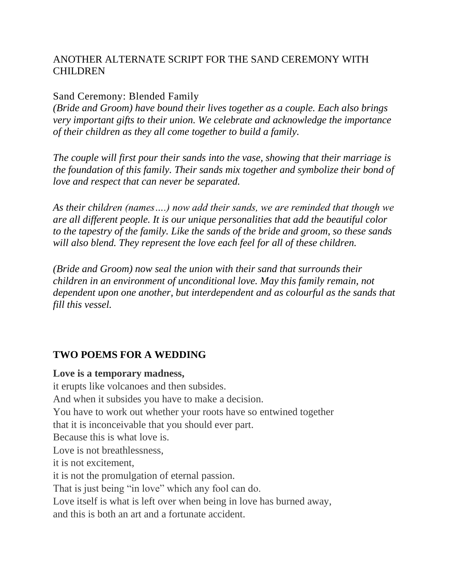## ANOTHER ALTERNATE SCRIPT FOR THE SAND CEREMONY WITH CHILDREN

#### Sand Ceremony: Blended Family

*(Bride and Groom) have bound their lives together as a couple. Each also brings very important gifts to their union. We celebrate and acknowledge the importance of their children as they all come together to build a family.*

*The couple will first pour their sands into the vase, showing that their marriage is the foundation of this family. Their sands mix together and symbolize their bond of love and respect that can never be separated.*

*As their children (names….) now add their sands, we are reminded that though we are all different people. It is our unique personalities that add the beautiful color to the tapestry of the family. Like the sands of the bride and groom, so these sands will also blend. They represent the love each feel for all of these children.*

*(Bride and Groom) now seal the union with their sand that surrounds their children in an environment of unconditional love. May this family remain, not dependent upon one another, but interdependent and as colourful as the sands that fill this vessel.*

### **TWO POEMS FOR A WEDDING**

#### **Love is a temporary madness,**

it erupts like volcanoes and then subsides. And when it subsides you have to make a decision. You have to work out whether your roots have so entwined together that it is inconceivable that you should ever part. Because this is what love is. Love is not breathlessness, it is not excitement, it is not the promulgation of eternal passion. That is just being "in love" which any fool can do. Love itself is what is left over when being in love has burned away, and this is both an art and a fortunate accident.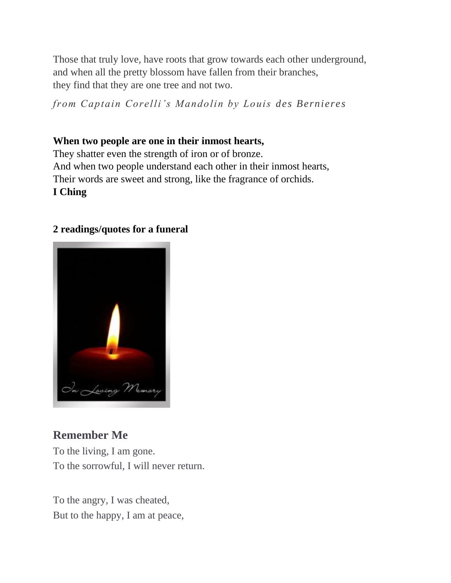Those that truly love, have roots that grow towards each other underground, and when all the pretty blossom have fallen from their branches, they find that they are one tree and not two.

*from Captain Corelli's Mandolin by Louis des Bernieres*

# **When two people are one in their inmost hearts,**

They shatter even the strength of iron or of bronze. And when two people understand each other in their inmost hearts, Their words are sweet and strong, like the fragrance of orchids. **I Ching**

# **2 readings/quotes for a funeral**



# **Remember Me**

To the living, I am gone. To the sorrowful, I will never return.

To the angry, I was cheated, But to the happy, I am at peace,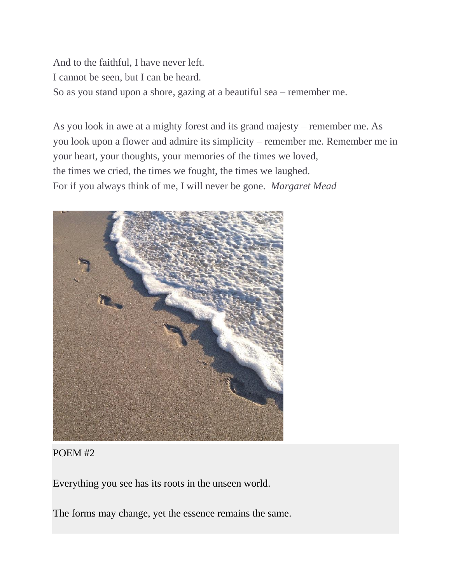And to the faithful, I have never left. I cannot be seen, but I can be heard. So as you stand upon a shore, gazing at a beautiful sea – remember me.

As you look in awe at a mighty forest and its grand majesty – remember me. As you look upon a flower and admire its simplicity – remember me. Remember me in your heart, your thoughts, your memories of the times we loved, the times we cried, the times we fought, the times we laughed. For if you always think of me, I will never be gone. *Margaret Mead*



#### POEM #2

Everything you see has its roots in the unseen world.

The forms may change, yet the essence remains the same.